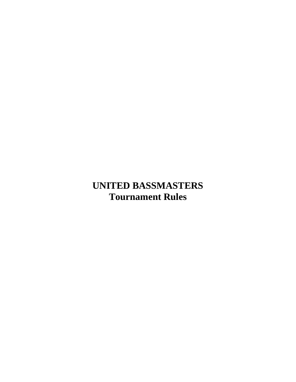## **UNITED BASSMASTERS Tournament Rules**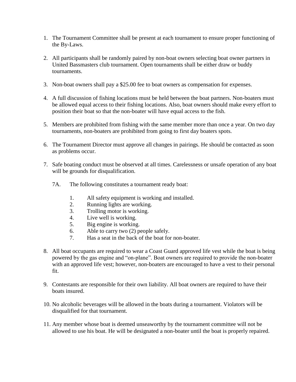- 1. The Tournament Committee shall be present at each tournament to ensure proper functioning of the By-Laws.
- 2. All participants shall be randomly paired by non-boat owners selecting boat owner partners in United Bassmasters club tournament. Open tournaments shall be either draw or buddy tournaments.
- 3. Non-boat owners shall pay a \$25.00 fee to boat owners as compensation for expenses.
- 4. A full discussion of fishing locations must be held between the boat partners. Non-boaters must be allowed equal access to their fishing locations. Also, boat owners should make every effort to position their boat so that the non-boater will have equal access to the fish.
- 5. Members are prohibited from fishing with the same member more than once a year. On two day tournaments, non-boaters are prohibited from going to first day boaters spots.
- 6. The Tournament Director must approve all changes in pairings. He should be contacted as soon as problems occur.
- 7. Safe boating conduct must be observed at all times. Carelessness or unsafe operation of any boat will be grounds for disqualification.
	- 7A. The following constitutes a tournament ready boat:
		- 1. All safety equipment is working and installed.
		- 2. Running lights are working.
		- 3. Trolling motor is working.
		- 4. Live well is working.
		- 5. Big engine is working.
		- 6. Able to carry two (2) people safely.
		- 7. Has a seat in the back of the boat for non-boater.
- 8. All boat occupants are required to wear a Coast Guard approved life vest while the boat is being powered by the gas engine and "on-plane". Boat owners are required to provide the non-boater with an approved life vest; however, non-boaters are encouraged to have a vest to their personal fit.
- 9. Contestants are responsible for their own liability. All boat owners are required to have their boats insured.
- 10. No alcoholic beverages will be allowed in the boats during a tournament. Violators will be disqualified for that tournament.
- 11. Any member whose boat is deemed unseaworthy by the tournament committee will not be allowed to use his boat. He will be designated a non-boater until the boat is properly repaired.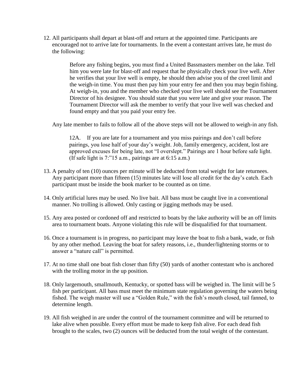12. All participants shall depart at blast-off and return at the appointed time. Participants are encouraged not to arrive late for tournaments. In the event a contestant arrives late, he must do the following:

> Before any fishing begins, you must find a United Bassmasters member on the lake. Tell him you were late for blast-off and request that he physically check your live well. After he verifies that your live well is empty, he should then advise you of the creel limit and the weigh-in time. You must then pay him your entry fee and then you may begin fishing. At weigh-in, you and the member who checked your live well should see the Tournament Director of his designee. You should state that you were late and give your reason. The Tournament Director will ask the member to verify that your live well was checked and found empty and that you paid your entry fee.

Any late member to fails to follow all of the above steps will not be allowed to weigh-in any fish.

12A. If you are late for a tournament and you miss pairings and don't call before pairings, you lose half of your day's weight. Job, family emergency, accident, lost are approved excuses for being late, not "I overslept." Pairings are 1 hour before safe light. (If safe light is 7:"15 a.m., pairings are at 6:15 a.m.)

- 13. A penalty of ten (10) ounces per minute will be deducted from total weight for late returnees. Any participant more than fifteen (15) minutes late will lose all credit for the day's catch. Each participant must be inside the book marker to be counted as on time.
- 14. Only artificial lures may be used. No live bait. All bass must be caught live in a conventional manner. No trolling is allowed. Only casting or jigging methods may be used.
- 15. Any area posted or cordoned off and restricted to boats by the lake authority will be an off limits area to tournament boats. Anyone violating this rule will be disqualified for that tournament.
- 16. Once a tournament is in progress, no participant may leave the boat to fish a bank, wade, or fish by any other method. Leaving the boat for safety reasons, i.e., thunder/lightening storms or to answer a "nature call" is permitted.
- 17. At no time shall one boat fish closer than fifty (50) yards of another contestant who is anchored with the trolling motor in the up position.
- 18. Only largemouth, smallmouth, Kentucky, or spotted bass will be weighed in. The limit will be 5 fish per participant. All bass must meet the minimum state regulation governing the waters being fished. The weigh master will use a "Golden Rule," with the fish's mouth closed, tail fanned, to determine length.
- 19. All fish weighed in are under the control of the tournament committee and will be returned to lake alive when possible. Every effort must be made to keep fish alive. For each dead fish brought to the scales, two (2) ounces will be deducted from the total weight of the contestant.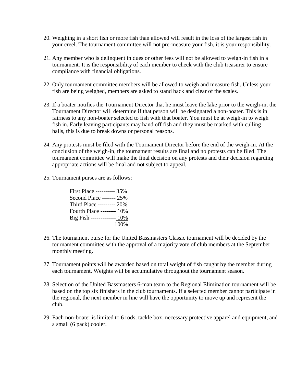- 20. Weighing in a short fish or more fish than allowed will result in the loss of the largest fish in your creel. The tournament committee will not pre-measure your fish, it is your responsibility.
- 21. Any member who is delinquent in dues or other fees will not be allowed to weigh-in fish in a tournament. It is the responsibility of each member to check with the club treasurer to ensure compliance with financial obligations.
- 22. Only tournament committee members will be allowed to weigh and measure fish. Unless your fish are being weighed, members are asked to stand back and clear of the scales.
- 23. If a boater notifies the Tournament Director that he must leave the lake prior to the weigh-in, the Tournament Director will determine if that person will be designated a non-boater. This is in fairness to any non-boater selected to fish with that boater. You must be at weigh-in to weigh fish in. Early leaving participants may hand off fish and they must be marked with culling balls, this is due to break downs or personal reasons.
- 24. Any protests must be filed with the Tournament Director before the end of the weigh-in. At the conclusion of the weigh-in, the tournament results are final and no protests can be filed. The tournament committee will make the final decision on any protests and their decision regarding appropriate actions will be final and not subject to appeal.
- 25. Tournament purses are as follows:

| First Place ---------- 35% |
|----------------------------|
| Second Place ------- 25%   |
| Third Place --------- 20%  |
| Fourth Place -------- 10%  |
| Big Fish ------------- 10% |
| 100%                       |

- 26. The tournament purse for the United Bassmasters Classic tournament will be decided by the tournament committee with the approval of a majority vote of club members at the September monthly meeting.
- 27. Tournament points will be awarded based on total weight of fish caught by the member during each tournament. Weights will be accumulative throughout the tournament season.
- 28. Selection of the United Bassmasters 6-man team to the Regional Elimination tournament will be based on the top six finishers in the club tournaments. If a selected member cannot participate in the regional, the next member in line will have the opportunity to move up and represent the club.
- 29. Each non-boater is limited to 6 rods, tackle box, necessary protective apparel and equipment, and a small (6 pack) cooler.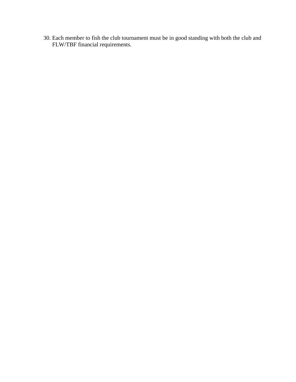30. Each member to fish the club tournament must be in good standing with both the club and FLW/TBF financial requirements.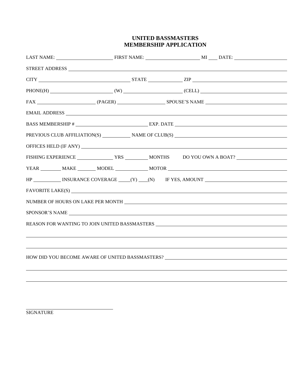## **UNITED BASSMASTERS MEMBERSHIP APPLICATION**

| $CITY$ $ZIP$                                                                                           |  |  |
|--------------------------------------------------------------------------------------------------------|--|--|
| $PHONE(H)$ (W) (CELL) (CELL)                                                                           |  |  |
|                                                                                                        |  |  |
|                                                                                                        |  |  |
|                                                                                                        |  |  |
| PREVIOUS CLUB AFFILIATION(S) $\qquad \qquad \blacksquare$ NAME OF CLUB(S) $\qquad \qquad \blacksquare$ |  |  |
|                                                                                                        |  |  |
|                                                                                                        |  |  |
|                                                                                                        |  |  |
| HP _____________ INSURANCE COVERAGE _____(Y) ____(N) IF YES, AMOUNT ________________________________   |  |  |
|                                                                                                        |  |  |
| NUMBER OF HOURS ON LAKE PER MONTH NORTH COMMENT CONTRACT A SERIES OF HOURS ON LAKE PER MONTH           |  |  |
| SPONSOR'S NAME                                                                                         |  |  |
| REASON FOR WANTING TO JOIN UNITED BASSMASTERS __________________________________                       |  |  |
|                                                                                                        |  |  |
|                                                                                                        |  |  |
| HOW DID YOU BECOME AWARE OF UNITED BASSMASTERS? _________________________________                      |  |  |
|                                                                                                        |  |  |
|                                                                                                        |  |  |
|                                                                                                        |  |  |

SIGNATURE